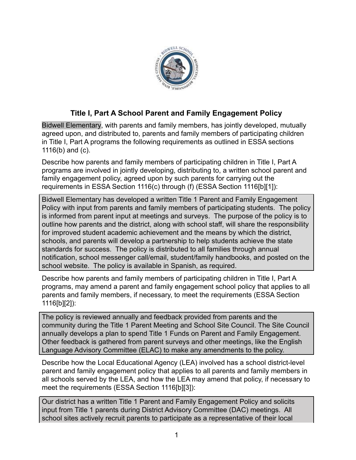

## **Title I, Part A School Parent and Family Engagement Policy**

Bidwell Elementary, with parents and family members, has jointly developed, mutually agreed upon, and distributed to, parents and family members of participating children in Title I, Part A programs the following requirements as outlined in ESSA sections 1116(b) and (c).

Describe how parents and family members of participating children in Title I, Part A programs are involved in jointly developing, distributing to, a written school parent and family engagement policy, agreed upon by such parents for carrying out the requirements in ESSA Section 1116(c) through (f) (ESSA Section 1116[b][1]):

Bidwell Elementary has developed a written Title 1 Parent and Family Engagement Policy with input from parents and family members of participating students. The policy is informed from parent input at meetings and surveys. The purpose of the policy is to outline how parents and the district, along with school staff, will share the responsibility for improved student academic achievement and the means by which the district, schools, and parents will develop a partnership to help students achieve the state standards for success. The policy is distributed to all families through annual notification, school messenger call/email, student/family handbooks, and posted on the school website. The policy is available in Spanish, as required.

Describe how parents and family members of participating children in Title I, Part A programs, may amend a parent and family engagement school policy that applies to all parents and family members, if necessary, to meet the requirements (ESSA Section 1116[b][2]):

The policy is reviewed annually and feedback provided from parents and the community during the Title 1 Parent Meeting and School Site Council. The Site Council annually develops a plan to spend Title 1 Funds on Parent and Family Engagement. Other feedback is gathered from parent surveys and other meetings, like the English Language Advisory Committee (ELAC) to make any amendments to the policy.

Describe how the Local Educational Agency (LEA) involved has a school district-level parent and family engagement policy that applies to all parents and family members in all schools served by the LEA, and how the LEA may amend that policy, if necessary to meet the requirements (ESSA Section 1116[b][3]):

Our district has a written Title 1 Parent and Family Engagement Policy and solicits input from Title 1 parents during District Advisory Committee (DAC) meetings. All school sites actively recruit parents to participate as a representative of their local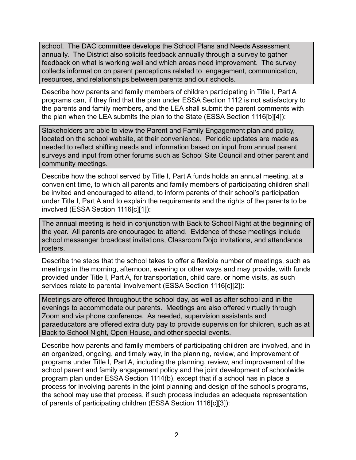school. The DAC committee develops the School Plans and Needs Assessment annually. The District also solicits feedback annually through a survey to gather feedback on what is working well and which areas need improvement. The survey collects information on parent perceptions related to engagement, communication, resources, and relationships between parents and our schools.

Describe how parents and family members of children participating in Title I, Part A programs can, if they find that the plan under ESSA Section 1112 is not satisfactory to the parents and family members, and the LEA shall submit the parent comments with the plan when the LEA submits the plan to the State (ESSA Section 1116[b][4]):

Stakeholders are able to view the Parent and Family Engagement plan and policy, located on the school website, at their convenience. Periodic updates are made as needed to reflect shifting needs and information based on input from annual parent surveys and input from other forums such as School Site Council and other parent and community meetings.

Describe how the school served by Title I, Part A funds holds an annual meeting, at a convenient time, to which all parents and family members of participating children shall be invited and encouraged to attend, to inform parents of their school's participation under Title I, Part A and to explain the requirements and the rights of the parents to be involved (ESSA Section 1116[c][1]):

The annual meeting is held in conjunction with Back to School Night at the beginning of the year. All parents are encouraged to attend. Evidence of these meetings include school messenger broadcast invitations, Classroom Dojo invitations, and attendance rosters.

Describe the steps that the school takes to offer a flexible number of meetings, such as meetings in the morning, afternoon, evening or other ways and may provide, with funds provided under Title I, Part A, for transportation, child care, or home visits, as such services relate to parental involvement (ESSA Section 1116[c][2]):

Meetings are offered throughout the school day, as well as after school and in the evenings to accommodate our parents. Meetings are also offered virtually through Zoom and via phone conference. As needed, supervision assistants and paraeducators are offered extra duty pay to provide supervision for children, such as at Back to School Night, Open House, and other special events.

Describe how parents and family members of participating children are involved, and in an organized, ongoing, and timely way, in the planning, review, and improvement of programs under Title I, Part A, including the planning, review, and improvement of the school parent and family engagement policy and the joint development of schoolwide program plan under ESSA Section 1114(b), except that if a school has in place a process for involving parents in the joint planning and design of the school's programs, the school may use that process, if such process includes an adequate representation of parents of participating children (ESSA Section 1116[c][3]):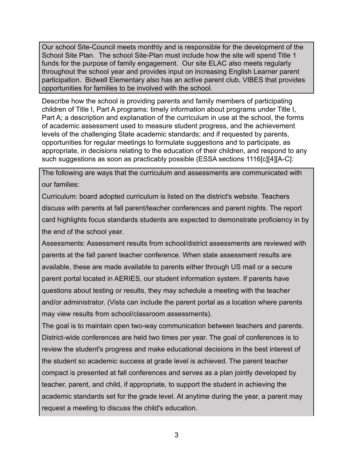Our school Site-Council meets monthly and is responsible for the development of the School Site Plan. The school Site-Plan must include how the site will spend Title 1 funds for the purpose of family engagement. Our site ELAC also meets regularly throughout the school year and provides input on increasing English Learner parent participation. Bidwell Elementary also has an active parent club, VIBES that provides opportunities for families to be involved with the school.

Describe how the school is providing parents and family members of participating children of Title I, Part A programs: timely information about programs under Title I, Part A; a description and explanation of the curriculum in use at the school, the forms of academic assessment used to measure student progress, and the achievement levels of the challenging State academic standards; and if requested by parents, opportunities for regular meetings to formulate suggestions and to participate, as appropriate, in decisions relating to the education of their children, and respond to any such suggestions as soon as practicably possible (ESSA sections 1116[c][4][A-C]:

The following are ways that the curriculum and assessments are communicated with our families:

Curriculum: board adopted curriculum is listed on the district's website. Teachers discuss with parents at fall parent/teacher conferences and parent nights. The report card highlights focus standards students are expected to demonstrate proficiency in by the end of the school year.

Assessments: Assessment results from school/district assessments are reviewed with parents at the fall parent teacher conference. When state assessment results are available, these are made available to parents either through US mail or a secure parent portal located in AERIES, our student information system. If parents have questions about testing or results, they may schedule a meeting with the teacher and/or administrator. (Vista can include the parent portal as a location where parents may view results from school/classroom assessments).

The goal is to maintain open two-way communication between teachers and parents. District-wide conferences are held two times per year. The goal of conferences is to review the student's progress and make educational decisions in the best interest of the student so academic success at grade level is achieved. The parent teacher compact is presented at fall conferences and serves as a plan jointly developed by teacher, parent, and child, if appropriate, to support the student in achieving the academic standards set for the grade level. At anytime during the year, a parent may request a meeting to discuss the child's education.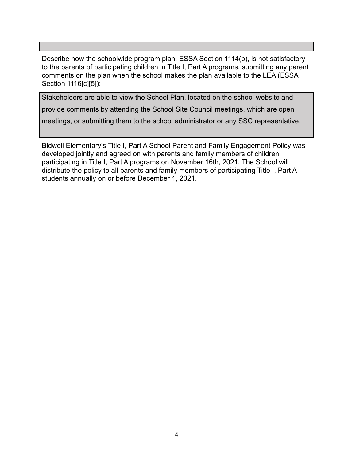Describe how the schoolwide program plan, ESSA Section 1114(b), is not satisfactory to the parents of participating children in Title I, Part A programs, submitting any parent comments on the plan when the school makes the plan available to the LEA (ESSA Section 1116[c][5]):

Stakeholders are able to view the School Plan, located on the school website and provide comments by attending the School Site Council meetings, which are open meetings, or submitting them to the school administrator or any SSC representative.

Bidwell Elementary's Title I, Part A School Parent and Family Engagement Policy was developed jointly and agreed on with parents and family members of children participating in Title I, Part A programs on November 16th, 2021. The School will distribute the policy to all parents and family members of participating Title I, Part A students annually on or before December 1, 2021.